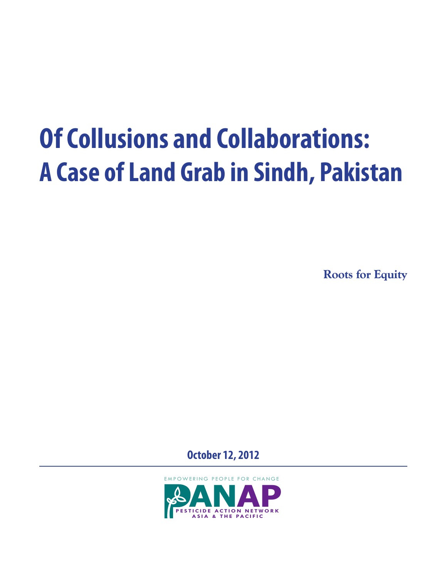**Roots for Equity**

**October 12, 2012**

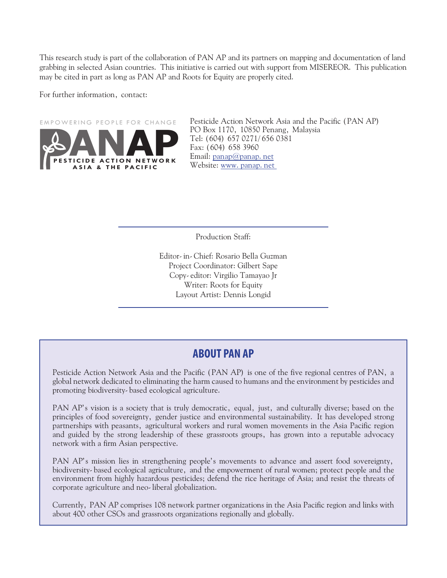This research study is part of the collaboration of PAN AP and its partners on mapping and documentation of land grabbing in selected Asian countries. This initiative is carried out with support from MISEREOR. This publication may be cited in part as long as PAN AP and Roots for Equity are properly cited.

For further information, contact:



Pesticide Action Network Asia and the Pacific (PAN AP) PO Box 1170, 10850 Penang, Malaysia Tel: (604) 657 0271/656 0381 Fax: (604) 658 3960 Email: panap@panap.net Website: www.panap.net

Production Staff:

Editor-in-Chief: Rosario Bella Guzman Project Coordinator: Gilbert Sape Copy-editor: Virgilio Tamayao Jr Writer: Roots for Equity Layout Artist: Dennis Longid

## **ABOUT PAN AP**

Pesticide Action Network Asia and the Pacific (PAN AP) is one of the five regional centres of PAN, a global network dedicated to eliminating the harm caused to humans and the environment by pesticides and promoting biodiversity-based ecological agriculture.

PAN AP's vision is a society that is truly democratic, equal, just, and culturally diverse; based on the principles of food sovereignty, gender justice and environmental sustainability. It has developed strong partnerships with peasants, agricultural workers and rural women movements in the Asia Pacific region and guided by the strong leadership of these grassroots groups, has grown into a reputable advocacy network with a firm Asian perspective.

PAN AP's mission lies in strengthening people's movements to advance and assert food sovereignty, biodiversity-based ecological agriculture, and the empowerment of rural women; protect people and the environment from highly hazardous pesticides; defend the rice heritage of Asia; and resist the threats of corporate agriculture and neo-liberal globalization.

Currently, PAN AP comprises 108 network partner organizations in the Asia Pacific region and links with about 400 other CSOs and grassroots organizations regionally and globally.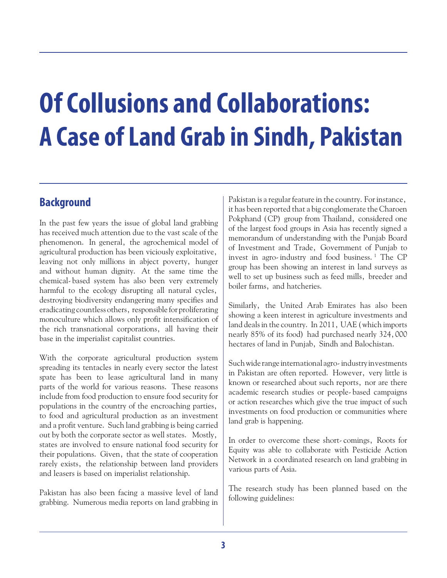## **Background**

In the past few years the issue of global land grabbing has received much attention due to the vast scale of the phenomenon. In general, the agrochemical model of agricultural production has been viciously exploitative, leaving not only millions in abject poverty, hunger and without human dignity. At the same time the chemical-based system has also been very extremely harmful to the ecology disrupting all natural cycles, destroying biodiversity endangering many specifies and eradicating countless others, responsible for proliferating monoculture which allows only profit intensification of the rich transnational corporations, all having their base in the imperialist capitalist countries.

With the corporate agricultural production system spreading its tentacles in nearly every sector the latest spate has been to lease agricultural land in many parts of the world for various reasons. These reasons include from food production to ensure food security for populations in the country of the encroaching parties, to food and agricultural production as an investment and a profit venture. Such land grabbing is being carried out by both the corporate sector as well states. Mostly, states are involved to ensure national food security for their populations. Given, that the state of cooperation rarely exists, the relationship between land providers and leasers is based on imperialist relationship.

Pakistan has also been facing a massive level of land grabbing. Numerous media reports on land grabbing in

Pakistan is a regular feature in the country. For instance, it has been reported that a big conglomerate the Charoen Pokphand (CP) group from Thailand, considered one of the largest food groups in Asia has recently signed a memorandum of understanding with the Punjab Board of Investment and Trade, Government of Punjab to invest in agro-industry and food business.<sup>1</sup> The CP group has been showing an interest in land surveys as well to set up business such as feed mills, breeder and boiler farms, and hatcheries.

Similarly, the United Arab Emirates has also been showing a keen interest in agriculture investments and land deals in the country. In 2011, UAE (which imports nearly 85% of its food) had purchased nearly 324,000 hectares of land in Punjab, Sindh and Balochistan.

Such wide range international agro-industry investments in Pakistan are often reported. However, very little is known or researched about such reports, nor are there academic research studies or people-based campaigns or action researches which give the true impact of such investments on food production or communities where land grab is happening.

In order to overcome these short-comings, Roots for Equity was able to collaborate with Pesticide Action Network in a coordinated research on land grabbing in various parts of Asia.

The research study has been planned based on the following guidelines: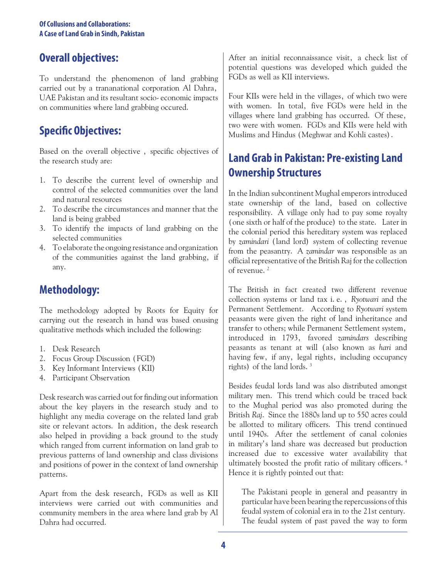## **Overall objectives:**

To understand the phenomenon of land grabbing carried out by a trananational corporation Al Dahra, UAE Pakistan and its resultant socio-economic impacts on communities where land grabbing occured.

# **Specific Objectives:**

Based on the overall objective , specific objectives of the research study are:

- 1. To describe the current level of ownership and control of the selected communities over the land and natural resources
- 2. To describe the circumstances and manner that the land is being grabbed
- 3. To identify the impacts of land grabbing on the selected communities
- 4. To elaborate the ongoing resistance and organization of the communities against the land grabbing, if any.

# **Methodology:**

The methodology adopted by Roots for Equity for carrying out the research in hand was based onusing qualitative methods which included the following:

- 1. Desk Research
- 2. Focus Group Discussion (FGD)
- 3. Key Informant Interviews (KII)
- 4. Participant Observation

Desk research was carried out for finding out information about the key players in the research study and to highlight any media coverage on the related land grab site or relevant actors. In addition, the desk research also helped in providing a back ground to the study which ranged from current information on land grab to previous patterns of land ownership and class divisions and positions of power in the context of land ownership patterns.

Apart from the desk research, FGDs as well as KII interviews were carried out with communities and community members in the area where land grab by Al Dahra had occurred.

After an initial reconnaissance visit, a check list of potential questions was developed which guided the FGDs as well as KII interviews.

Four KIIs were held in the villages, of which two were with women. In total, five FGDs were held in the villages where land grabbing has occurred. Of these, two were with women. FGDs and KIIs were held with Muslims and Hindus (Meghwar and Kohli castes).

# **Land Grab in Pakistan: Pre-existing Land Ownership Structures**

In the Indian subcontinent Mughal emperors introduced state ownership of the land, based on collective responsibility. A village only had to pay some royalty (one sixth or half of the produce) to the state. Later in the colonial period this hereditary system was replaced by *zamindari* (land lord) system of collecting revenue from the peasantry. A *zamindar* was responsible as an official representative of the British Raj for the collection of revenue.<sup>2</sup>

The British in fact created two different revenue collection systems or land tax i.e., *Ryotwari* and the Permanent Settlement. According to *Ryotwari* system peasants were given the right of land inheritance and transfer to others; while Permanent Settlement system, introduced in 1793, favored *zamindars* describing peasants as tenant at will (also known as *hari* and having few, if any, legal rights, including occupancy rights) of the land lords.  $3$ 

Besides feudal lords land was also distributed amongst military men. This trend which could be traced back to the Mughal period was also promoted during the British *Raj*. Since the 1880s land up to 550 acres could be allotted to military officers. This trend continued until 1940s. After the settlement of canal colonies in military's land share was decreased but production increased due to excessive water availability that ultimately boosted the profit ratio of military officers.<sup>4</sup> Hence it is rightly pointed out that:

The Pakistani people in general and peasantry in particular have been bearing the repercussions of this feudal system of colonial era in to the 21st century. The feudal system of past paved the way to form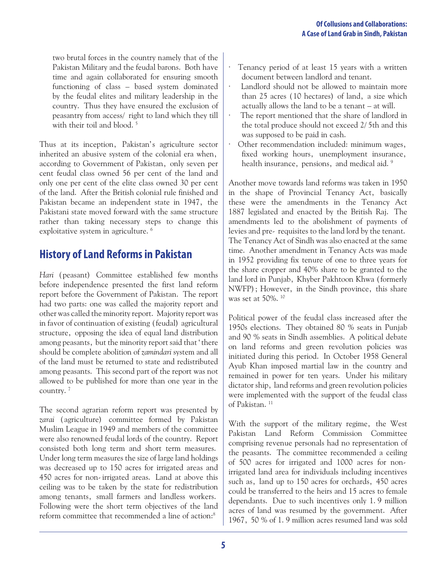two brutal forces in the country namely that of the Pakistan Military and the feudal barons. Both have time and again collaborated for ensuring smooth functioning of class – based system dominated by the feudal elites and military leadership in the country. Thus they have ensured the exclusion of peasantry from access/ right to land which they till with their toil and blood.<sup>5</sup>

Thus at its inception, Pakistan's agriculture sector inherited an abusive system of the colonial era when, according to Government of Pakistan, only seven per cent feudal class owned 56 per cent of the land and only one per cent of the elite class owned 30 per cent of the land. After the British colonial rule finished and Pakistan became an independent state in 1947, the Pakistani state moved forward with the same structure rather than taking necessary steps to change this exploitative system in agriculture.<sup>6</sup>

# **History of Land Reforms in Pakistan**

*Hari* (peasant) Committee established few months before independence presented the first land reform report before the Government of Pakistan. The report had two parts: one was called the majority report and other was called the minority report. Majority report was in favor of continuation of existing (feudal) agricultural structure, opposing the idea of equal land distribution among peasants, but the minority report said that 'there should be complete abolition of *zamindari* system and all of the land must be returned to state and redistributed among peasants. This second part of the report was not allowed to be published for more than one year in the country.7

The second agrarian reform report was presented by *zarai* (agriculture) committee formed by Pakistan Muslim League in 1949 and members of the committee were also renowned feudal lords of the country. Report consisted both long term and short term measures. Under long term measures the size of large land holdings was decreased up to 150 acres for irrigated areas and 450 acres for non-irrigated areas. Land at above this ceiling was to be taken by the state for redistribution among tenants, small farmers and landless workers. Following were the short term objectives of the land reform committee that recommended a line of action:<sup>8</sup>

- Tenancy period of at least 15 years with a written document between landlord and tenant.
- Landlord should not be allowed to maintain more than 25 acres (10 hectares) of land, a size which actually allows the land to be a tenant – at will.
- The report mentioned that the share of landlord in the total produce should not exceed 2/5th and this was supposed to be paid in cash.
- Other recommendation included: minimum wages, fixed working hours, unemployment insurance, health insurance, pensions, and medical aid.<sup>9</sup>

Another move towards land reforms was taken in 1950 in the shape of Provincial Tenancy Act, basically these were the amendments in the Tenancy Act 1887 legislated and enacted by the British Raj. The amendments led to the abolishment of payments of levies and pre- requisites to the land lord by the tenant. The Tenancy Act of Sindh was also enacted at the same time. Another amendment in Tenancy Acts was made in 1952 providing fix tenure of one to three years for the share cropper and 40% share to be granted to the land lord in Punjab, Khyber Pakhtoon Khwa (formerly NWFP); However, in the Sindh province, this share was set at 50%.10

Political power of the feudal class increased after the 1950s elections. They obtained 80 % seats in Punjab and 90 % seats in Sindh assemblies. A political debate on land reforms and green revolution policies was initiated during this period. In October 1958 General Ayub Khan imposed martial law in the country and remained in power for ten years. Under his military dictator ship, land reforms and green revolution policies were implemented with the support of the feudal class of Pakistan.<sup>11</sup>

With the support of the military regime, the West Pakistan Land Reform Commission Committee comprising revenue personals had no representation of the peasants. The committee recommended a ceiling of 500 acres for irrigated and 1000 acres for nonirrigated land area for individuals including incentives such as, land up to 150 acres for orchards, 450 acres could be transferred to the heirs and 15 acres to female dependants. Due to such incentives only 1.9 million acres of land was resumed by the government. After 1967, 50 % of 1.9 million acres resumed land was sold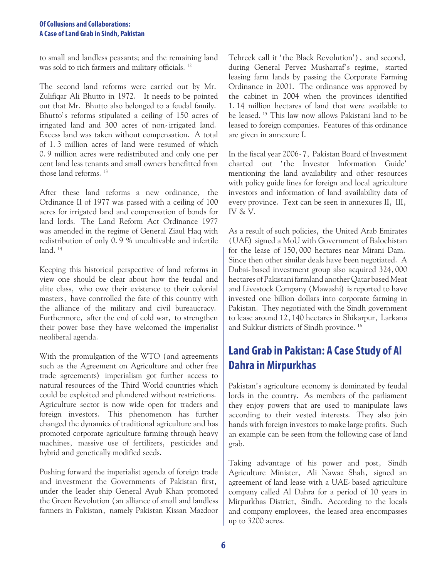to small and landless peasants; and the remaining land was sold to rich farmers and military officials.<sup>12</sup>

The second land reforms were carried out by Mr. Zulifiqar Ali Bhutto in 1972. It needs to be pointed out that Mr. Bhutto also belonged to a feudal family. Bhutto's reforms stipulated a ceiling of 150 acres of irrigated land and 300 acres of non-irrigated land. Excess land was taken without compensation. A total of 1.3 million acres of land were resumed of which 0.9 million acres were redistributed and only one per cent land less tenants and small owners benefitted from those land reforms.<sup>13</sup>

After these land reforms a new ordinance, the Ordinance II of 1977 was passed with a ceiling of 100 acres for irrigated land and compensation of bonds for land lords. The Land Reform Act Ordinance 1977 was amended in the regime of General Ziaul Haq with redistribution of only 0.9 % uncultivable and infertile land. $14$ 

Keeping this historical perspective of land reforms in view one should be clear about how the feudal and elite class, who owe their existence to their colonial masters, have controlled the fate of this country with the alliance of the military and civil bureaucracy. Furthermore, after the end of cold war, to strengthen their power base they have welcomed the imperialist neoliberal agenda.

With the promulgation of the WTO (and agreements such as the Agreement on Agriculture and other free trade agreements) imperialism got further access to natural resources of the Third World countries which could be exploited and plundered without restrictions. Agriculture sector is now wide open for traders and foreign investors. This phenomenon has further changed the dynamics of traditional agriculture and has promoted corporate agriculture farming through heavy machines, massive use of fertilizers, pesticides and hybrid and genetically modified seeds.

Pushing forward the imperialist agenda of foreign trade and investment the Governments of Pakistan first, under the leader ship General Ayub Khan promoted the Green Revolution (an alliance of small and landless farmers in Pakistan, namely Pakistan Kissan Mazdoor Tehreek call it 'the Black Revolution'), and second, during General Pervez Musharraf's regime, started leasing farm lands by passing the Corporate Farming Ordinance in 2001. The ordinance was approved by the cabinet in 2004 when the provinces identified 1.14 million hectares of land that were available to be leased.<sup>15</sup> This law now allows Pakistani land to be leased to foreign companies. Features of this ordinance are given in annexure I.

In the fiscal year 2006-7, Pakistan Board of Investment charted out 'the Investor Information Guide' mentioning the land availability and other resources with policy guide lines for foreign and local agriculture investors and information of land availability data of every province. Text can be seen in annexures II, III, IV & V.

As a result of such policies, the United Arab Emirates (UAE) signed a MoU with Government of Balochistan for the lease of 150,000 hectares near Mirani Dam. Since then other similar deals have been negotiated. A Dubai-based investment group also acquired 324,000 hectares of Pakistani farmland another Qatar based Meat and Livestock Company (Mawashi) is reported to have invested one billion dollars into corporate farming in Pakistan. They negotiated with the Sindh government to lease around 12,140 hectares in Shikarpur, Larkana and Sukkur districts of Sindh province.<sup>16</sup>

# **Land Grab in Pakistan: A Case Study of Al Dahra in Mirpurkhas**

Pakistan's agriculture economy is dominated by feudal lords in the country. As members of the parliament they enjoy powers that are used to manipulate laws according to their vested interests. They also join hands with foreign investors to make large profits. Such an example can be seen from the following case of land grab.

Taking advantage of his power and post, Sindh Agriculture Minister, Ali Nawaz Shah, signed an agreement of land lease with a UAE-based agriculture company called Al Dahra for a period of 10 years in Mirpurkhas District, Sindh. According to the locals and company employees, the leased area encompasses up to 3200 acres.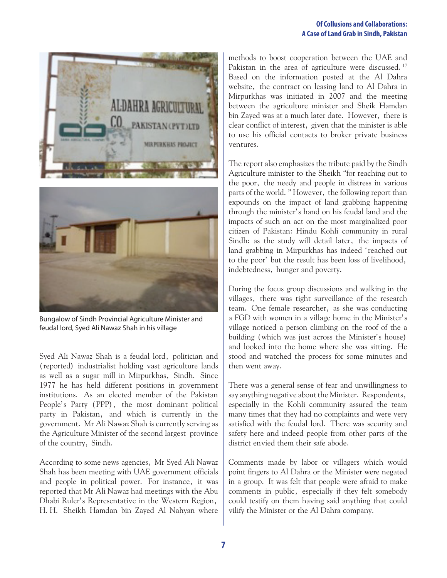



Bungalow of Sindh Provincial Agriculture Minister and feudal lord, Syed Ali Nawaz Shah in his village

Syed Ali Nawaz Shah is a feudal lord, politician and (reported) industrialist holding vast agriculture lands as well as a sugar mill in Mirpurkhas, Sindh. Since 1977 he has held different positions in government institutions. As an elected member of the Pakistan People's Party (PPP), the most dominant political party in Pakistan, and which is currently in the government. Mr Ali Nawaz Shah is currently serving as the Agriculture Minister of the second largest province of the country, Sindh.

According to some news agencies, Mr Syed Ali Nawaz Shah has been meeting with UAE government officials and people in political power. For instance, it was reported that Mr Ali Nawaz had meetings with the Abu Dhabi Ruler's Representative in the Western Region, H.H. Sheikh Hamdan bin Zayed Al Nahyan where

methods to boost cooperation between the UAE and Pakistan in the area of agriculture were discussed.<sup>17</sup> Based on the information posted at the Al Dahra website, the contract on leasing land to Al Dahra in Mirpurkhas was initiated in 2007 and the meeting between the agriculture minister and Sheik Hamdan bin Zayed was at a much later date. However, there is clear conflict of interest, given that the minister is able to use his official contacts to broker private business ventures.

The report also emphasizes the tribute paid by the Sindh Agriculture minister to the Sheikh "for reaching out to the poor, the needy and people in distress in various parts of the world." However, the following report than expounds on the impact of land grabbing happening through the minister's hand on his feudal land and the impacts of such an act on the most marginalized poor citizen of Pakistan: Hindu Kohli community in rural Sindh: as the study will detail later, the impacts of land grabbing in Mirpurkhas has indeed 'reached out to the poor' but the result has been loss of livelihood, indebtedness, hunger and poverty.

During the focus group discussions and walking in the villages, there was tight surveillance of the research team. One female researcher, as she was conducting a FGD with women in a village home in the Minister's village noticed a person climbing on the roof of the a building (which was just across the Minister's house) and looked into the home where she was sitting. He stood and watched the process for some minutes and then went away.

There was a general sense of fear and unwillingness to say anything negative about the Minister. Respondents, especially in the Kohli community assured the team many times that they had no complaints and were very satisfied with the feudal lord. There was security and safety here and indeed people from other parts of the district envied them their safe abode.

Comments made by labor or villagers which would point fingers to Al Dahra or the Minister were negated in a group. It was felt that people were afraid to make comments in public, especially if they felt somebody could testify on them having said anything that could vilify the Minister or the Al Dahra company.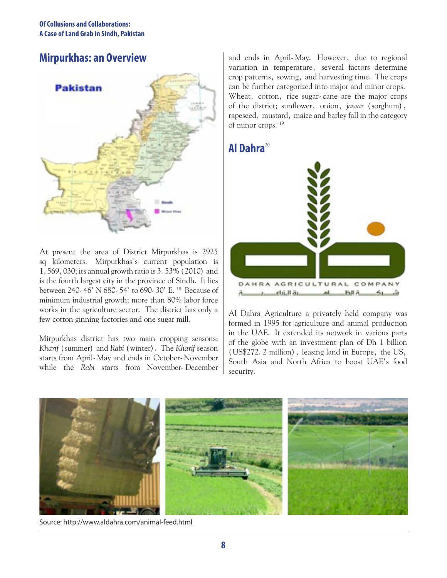## **Mirpurkhas: an Overview**



At present the area of District Mirpurkhas is 2925 sq kilometers. Mirpurkhas's current population is 1,569,030; its annual growth ratio is 3.53% (2010) and is the fourth largest city in the province of Sindh. It lies between 240-46' N 680-54' to 690-30' E.18 Because of minimum industrial growth; more than 80% labor force works in the agriculture sector. The district has only a few cotton ginning factories and one sugar mill.

Mirpurkhas district has two main cropping seasons; *Kharif* (summer) and *Rabi* (winter). The *Kharif* season starts from April-May and ends in October-November while the *Rabi* starts from November-December and ends in April-May. However, due to regional variation in temperature, several factors determine crop patterns, sowing, and harvesting time. The crops can be further categorized into major and minor crops. Wheat, cotton, rice sugar-cane are the major crops of the district; sunflower, onion, *jawar* (sorghum), rapeseed, mustard, maize and barley fall in the category of minor crops.<sup>19</sup>

## **Al Dahra**<sup>20</sup>



Al Dahra Agriculture a privately held company was formed in 1995 for agriculture and animal production in the UAE. It extended its network in various parts of the globe with an investment plan of Dh 1 billion (US\$272.2 million), leasing land in Europe, the US, South Asia and North Africa to boost UAE's food security.



Source: http://www.aldahra.com/animal-feed.html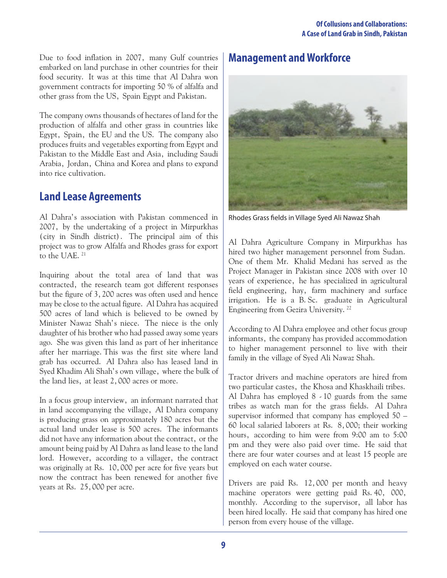Due to food inflation in 2007, many Gulf countries embarked on land purchase in other countries for their food security. It was at this time that Al Dahra won government contracts for importing 50 % of alfalfa and other grass from the US, Spain Egypt and Pakistan.

The company owns thousands of hectares of land for the production of alfalfa and other grass in countries like Egypt, Spain, the EU and the US. The company also produces fruits and vegetables exporting from Egypt and Pakistan to the Middle East and Asia, including Saudi Arabia, Jordan, China and Korea and plans to expand into rice cultivation.

## **Land Lease Agreements**

Al Dahra's association with Pakistan commenced in 2007, by the undertaking of a project in Mirpurkhas (city in Sindh district). The principal aim of this project was to grow Alfalfa and Rhodes grass for export to the UAE.<sup>21</sup>

Inquiring about the total area of land that was contracted, the research team got different responses but the figure of 3,200 acres was often used and hence may be close to the actual figure. Al Dahra has acquired 500 acres of land which is believed to be owned by Minister Nawaz Shah's niece. The niece is the only daughter of his brother who had passed away some years ago. She was given this land as part of her inheritance after her marriage.This was the first site where land grab has occurred. Al Dahra also has leased land in Syed Khadim Ali Shah's own village, where the bulk of the land lies, at least 2,000 acres or more.

In a focus group interview, an informant narrated that in land accompanying the village, Al Dahra company is producing grass on approximately 180 acres but the actual land under lease is 500 acres. The informants did not have any information about the contract, or the amount being paid by Al Dahra as land lease to the land lord. However, according to a villager, the contract was originally at Rs. 10,000 per acre for five years but now the contract has been renewed for another five years at Rs. 25,000 per acre.

# **Management and Workforce**



Rhodes Grass fields in Village Syed Ali Nawaz Shah

Al Dahra Agriculture Company in Mirpurkhas has hired two higher management personnel from Sudan. One of them Mr. Khalid Medani has served as the Project Manager in Pakistan since 2008 with over 10 years of experience, he has specialized in agricultural field engineering, hay, farm machinery and surface irrigation. He is a B.Sc. graduate in Agricultural Engineering from Gezira University.<sup>22</sup>

According to Al Dahra employee and other focus group informants, the company has provided accommodation to higher management personnel to live with their family in the village of Syed Ali Nawaz Shah.

Tractor drivers and machine operators are hired from two particular castes, the Khosa and Khaskhaili tribes. Al Dahra has employed 8 -10 guards from the same tribes as watch man for the grass fields. Al Dahra supervisor informed that company has employed 50 – 60 local salaried laborers at Rs. 8,000; their working hours, according to him were from 9:00 am to 5:00 pm and they were also paid over time. He said that there are four water courses and at least 15 people are employed on each water course.

Drivers are paid Rs. 12,000 per month and heavy machine operators were getting paid Rs.40, 000, monthly. According to the supervisor, all labor has been hired locally. He said that company has hired one person from every house of the village.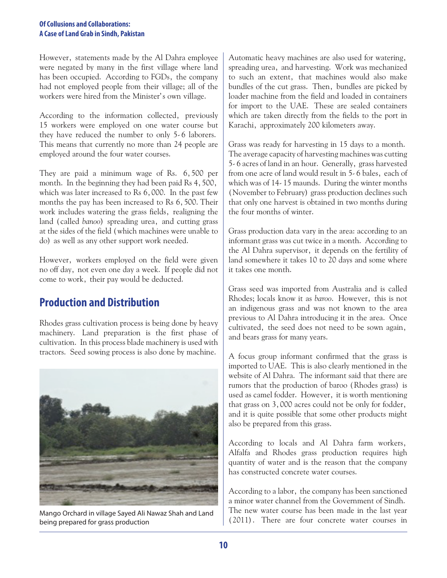However, statements made by the Al Dahra employee were negated by many in the first village where land has been occupied. According to FGDs, the company had not employed people from their village; all of the workers were hired from the Minister's own village.

According to the information collected, previously 15 workers were employed on one water course but they have reduced the number to only 5-6 laborers. This means that currently no more than 24 people are employed around the four water courses.

They are paid a minimum wage of Rs. 6,500 per month. In the beginning they had been paid Rs 4, 500, which was later increased to Rs 6,000. In the past few months the pay has been increased to Rs 6, 500. Their work includes watering the grass fields, realigning the land (called *banoo*) spreading urea, and cutting grass at the sides of the field (which machines were unable to do) as well as any other support work needed.

However, workers employed on the field were given no off day, not even one day a week. If people did not come to work, their pay would be deducted.

## **Production and Distribution**

Rhodes grass cultivation process is being done by heavy machinery. Land preparation is the first phase of cultivation. In this process blade machinery is used with tractors. Seed sowing process is also done by machine.



being prepared for grass production

Automatic heavy machines are also used for watering, spreading urea, and harvesting. Work was mechanized to such an extent, that machines would also make bundles of the cut grass. Then, bundles are picked by loader machine from the field and loaded in containers for import to the UAE. These are sealed containers which are taken directly from the fields to the port in Karachi, approximately 200 kilometers away.

Grass was ready for harvesting in 15 days to a month. The average capacity of harvesting machines was cutting 5-6 acres of land in an hour. Generally, grass harvested from one acre of land would result in 5-6 bales, each of which was of 14-15 maunds. During the winter months (November to February) grass production declines such that only one harvest is obtained in two months during the four months of winter.

Grass production data vary in the area: according to an informant grass was cut twice in a month. According to the Al Dahra supervisor, it depends on the fertility of land somewhere it takes 10 to 20 days and some where it takes one month.

Grass seed was imported from Australia and is called Rhodes; locals know it as *baroo*. However, this is not an indigenous grass and was not known to the area previous to Al Dahra introducing it in the area. Once cultivated, the seed does not need to be sown again, and bears grass for many years.

A focus group informant confirmed that the grass is imported to UAE. This is also clearly mentioned in the website of Al Dahra. The informant said that there are rumors that the production of baroo (Rhodes grass) is used as camel fodder. However, it is worth mentioning that grass on 3,000 acres could not be only for fodder, and it is quite possible that some other products might also be prepared from this grass.

According to locals and Al Dahra farm workers, Alfalfa and Rhodes grass production requires high quantity of water and is the reason that the company has constructed concrete water courses.

According to a labor, the company has been sanctioned a minor water channel from the Government of Sindh. The new water course has been made in the last year Mango Orchard in village Sayed Ali Nawaz Shah and Land<br>heing prepared for grass production<br>(2011). There are four concrete water courses in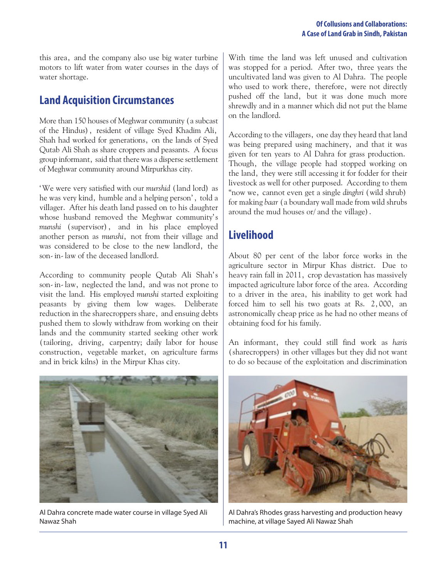this area, and the company also use big water turbine motors to lift water from water courses in the days of water shortage.

## **Land Acquisition Circumstances**

More than 150 houses of Meghwar community (a subcast of the Hindus), resident of village Syed Khadim Ali, Shah had worked for generations, on the lands of Syed Qutab Ali Shah as share croppers and peasants. A focus group informant, said that there was a disperse settlement of Meghwar community around Mirpurkhas city.

'We were very satisfied with our *murshid* (land lord) as he was very kind, humble and a helping person', told a villager. After his death land passed on to his daughter whose husband removed the Meghwar community's *munshi* (supervisor), and in his place employed another person as *munshi*, not from their village and was considered to be close to the new landlord, the son-in-law of the deceased landlord.

According to community people Qutab Ali Shah's son-in-law, neglected the land, and was not prone to visit the land. His employed *munshi* started exploiting peasants by giving them low wages. Deliberate reduction in the sharecroppers share, and ensuing debts pushed them to slowly withdraw from working on their lands and the community started seeking other work (tailoring, driving, carpentry; daily labor for house construction, vegetable market, on agriculture farms and in brick kilns) in the Mirpur Khas city.

With time the land was left unused and cultivation was stopped for a period. After two, three years the uncultivated land was given to Al Dahra. The people who used to work there, therefore, were not directly pushed off the land, but it was done much more shrewdly and in a manner which did not put the blame on the landlord.

According to the villagers, one day they heard that land was being prepared using machinery, and that it was given for ten years to Al Dahra for grass production. Though, the village people had stopped working on the land, they were still accessing it for fodder for their livestock as well for other purposed. According to them "now we, cannot even get a single *dinghri* (wild shrub) for making *baar* (a boundary wall made from wild shrubs around the mud houses or/and the village).

# **Livelihood**

About 80 per cent of the labor force works in the agriculture sector in Mirpur Khas district. Due to heavy rain fall in 2011, crop devastation has massively impacted agriculture labor force of the area. According to a driver in the area, his inability to get work had forced him to sell his two goats at Rs. 2,000, an astronomically cheap price as he had no other means of obtaining food for his family.

An informant, they could still find work as *haris* (sharecroppers) in other villages but they did not want to do so because of the exploitation and discrimination



Al Dahra concrete made water course in village Syed Ali Nawaz Shah



Al Dahra's Rhodes grass harvesting and production heavy machine, at village Sayed Ali Nawaz Shah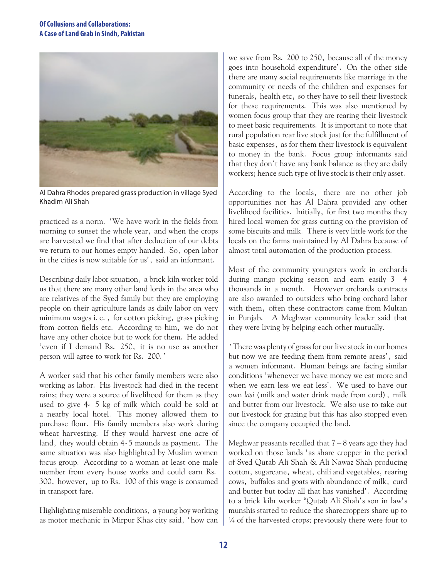

Al Dahra Rhodes prepared grass production in village Syed Khadim Ali Shah

practiced as a norm. 'We have work in the fields from morning to sunset the whole year, and when the crops are harvested we find that after deduction of our debts we return to our homes empty handed. So, open labor in the cities is now suitable for us', said an informant.

Describing daily labor situation, a brick kiln worker told us that there are many other land lords in the area who are relatives of the Syed family but they are employing people on their agriculture lands as daily labor on very minimum wages i.e., for cotton picking, grass picking from cotton fields etc. According to him, we do not have any other choice but to work for them. He added 'even if I demand Rs. 250, it is no use as another person will agree to work for Rs. 200.'

A worker said that his other family members were also working as labor. His livestock had died in the recent rains; they were a source of livelihood for them as they used to give 4- 5 kg of milk which could be sold at a nearby local hotel. This money allowed them to purchase flour. His family members also work during wheat harvesting. If they would harvest one acre of land, they would obtain 4-5 maunds as payment. The same situation was also highlighted by Muslim women focus group. According to a woman at least one male member from every house works and could earn Rs. 300, however, up to Rs. 100 of this wage is consumed in transport fare.

Highlighting miserable conditions, a young boy working as motor mechanic in Mirpur Khas city said, 'how can we save from Rs. 200 to 250, because all of the money goes into household expenditure'. On the other side there are many social requirements like marriage in the community or needs of the children and expenses for funerals, health etc, so they have to sell their livestock for these requirements. This was also mentioned by women focus group that they are rearing their livestock to meet basic requirements. It is important to note that rural population rear live stock just for the fulfillment of basic expenses, as for them their livestock is equivalent to money in the bank. Focus group informants said that they don't have any bank balance as they are daily workers; hence such type of live stock is their only asset.

According to the locals, there are no other job opportunities nor has Al Dahra provided any other livelihood facilities. Initially, for first two months they hired local women for grass cutting on the provision of some biscuits and milk. There is very little work for the locals on the farms maintained by Al Dahra because of almost total automation of the production process.

Most of the community youngsters work in orchards during mango picking season and earn easily 3– 4 thousands in a month. However orchards contracts are also awarded to outsiders who bring orchard labor with them, often these contractors came from Multan in Punjab. A Meghwar community leader said that they were living by helping each other mutually.

 'There was plenty of grass for our live stock in our homes but now we are feeding them from remote areas', said a women informant. Human beings are facing similar conditions 'whenever we have money we eat more and when we earn less we eat less'. We used to have our own *lasi* (milk and water drink made from curd), milk and butter from our livestock. We also use to take out our livestock for grazing but this has also stopped even since the company occupied the land.

Meghwar peasants recalled that  $7 - 8$  years ago they had worked on those lands 'as share cropper in the period of Syed Qutab Ali Shah & Ali Nawaz Shah producing cotton, sugarcane, wheat, chili and vegetables, rearing cows, buffalos and goats with abundance of milk, curd and butter but today all that has vanished'. According to a brick kiln worker "Qutab Ali Shah's son in law's munshis started to reduce the sharecroppers share up to  $\frac{1}{4}$  of the harvested crops; previously there were four to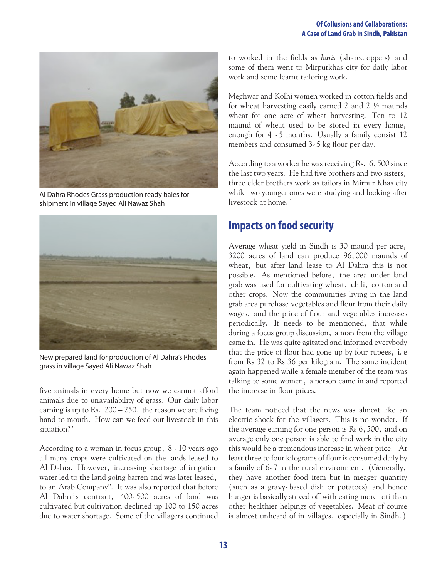

Al Dahra Rhodes Grass production ready bales for shipment in village Sayed Ali Nawaz Shah



New prepared land for production of Al Dahra's Rhodes grass in village Sayed Ali Nawaz Shah

five animals in every home but now we cannot afford animals due to unavailability of grass. Our daily labor earning is up to Rs.  $200 - 250$ , the reason we are living hand to mouth. How can we feed our livestock in this situation?'

According to a woman in focus group, 8 -10 years ago all many crops were cultivated on the lands leased to Al Dahra. However, increasing shortage of irrigation water led to the land going barren and was later leased, to an Arab Company". It was also reported that before Al Dahra's contract, 400-500 acres of land was cultivated but cultivation declined up 100 to 150 acres due to water shortage. Some of the villagers continued

to worked in the fields as *haris* (sharecroppers) and some of them went to Mirpurkhas city for daily labor work and some learnt tailoring work.

Meghwar and Kolhi women worked in cotton fields and for wheat harvesting easily earned 2 and 2 ½ maunds wheat for one acre of wheat harvesting. Ten to 12 maund of wheat used to be stored in every home, enough for 4 -5 months. Usually a family consist 12 members and consumed 3-5 kg flour per day.

According to a worker he was receiving Rs. 6,500 since the last two years. He had five brothers and two sisters, three elder brothers work as tailors in Mirpur Khas city while two younger ones were studying and looking after livestock at home.'

## **Impacts on food security**

Average wheat yield in Sindh is 30 maund per acre, 3200 acres of land can produce 96,000 maunds of wheat, but after land lease to Al Dahra this is not possible. As mentioned before, the area under land grab was used for cultivating wheat, chili, cotton and other crops. Now the communities living in the land grab area purchase vegetables and flour from their daily wages, and the price of flour and vegetables increases periodically. It needs to be mentioned, that while during a focus group discussion, a man from the village came in. He was quite agitated and informed everybody that the price of flour had gone up by four rupees, i. e. from Rs 32 to Rs 36 per kilogram. The same incident again happened while a female member of the team was talking to some women, a person came in and reported the increase in flour prices.

The team noticed that the news was almost like an electric shock for the villagers. This is no wonder. If the average earning for one person is Rs 6,500, and on average only one person is able to find work in the city this would be a tremendous increase in wheat price. At least three to four kilograms of flour is consumed daily by a family of 6-7 in the rural environment. (Generally, they have another food item but in meager quantity (such as a gravy-based dish or potatoes) and hence hunger is basically staved off with eating more roti than other healthier helpings of vegetables. Meat of course is almost unheard of in villages, especially in Sindh.)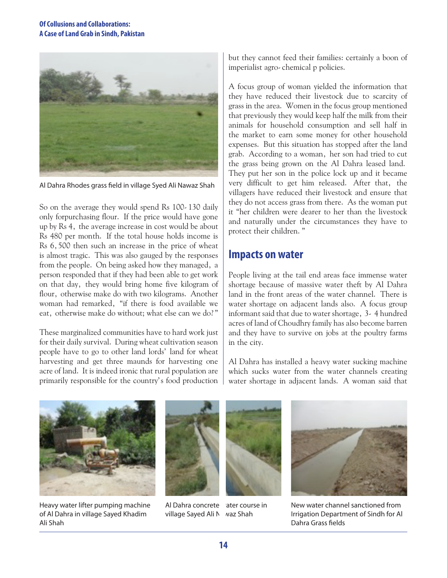

Al Dahra Rhodes grass field in village Syed Ali Nawaz Shah

So on the average they would spend Rs 100-130 daily only forpurchasing flour. If the price would have gone up by Rs 4, the average increase in cost would be about Rs 480 per month. If the total house holds income is Rs 6,500 then such an increase in the price of wheat is almost tragic. This was also gauged by the responses from the people. On being asked how they managed, a person responded that if they had been able to get work on that day, they would bring home five kilogram of flour, otherwise make do with two kilograms. Another woman had remarked, "if there is food available we eat, otherwise make do without; what else can we do?"

These marginalized communities have to hard work just for their daily survival. During wheat cultivation season people have to go to other land lords' land for wheat harvesting and get three maunds for harvesting one acre of land. It is indeed ironic that rural population are primarily responsible for the country's food production but they cannot feed their families: certainly a boon of imperialist agro-chemical p policies.

A focus group of woman yielded the information that they have reduced their livestock due to scarcity of grass in the area. Women in the focus group mentioned that previously they would keep half the milk from their animals for household consumption and sell half in the market to earn some money for other household expenses. But this situation has stopped after the land grab. According to a woman, her son had tried to cut the grass being grown on the Al Dahra leased land. They put her son in the police lock up and it became very difficult to get him released. After that, the villagers have reduced their livestock and ensure that they do not access grass from there. As the woman put it "her children were dearer to her than the livestock and naturally under the circumstances they have to protect their children."

#### **Impacts on water**

People living at the tail end areas face immense water shortage because of massive water theft by Al Dahra land in the front areas of the water channel. There is water shortage on adjacent lands also. A focus group informant said that due to water shortage, 3- 4 hundred acres of land of Choudhry family has also become barren and they have to survive on jobs at the poultry farms in the city.

Al Dahra has installed a heavy water sucking machine which sucks water from the water channels creating water shortage in adjacent lands. A woman said that



Heavy water lifter pumping machine of Al Dahra in village Sayed Khadim Ali Shah



Al Dahra concrete ater course in village Sayed Ali N vaz Shah





New water channel sanctioned from Irrigation Department of Sindh for Al Dahra Grass fields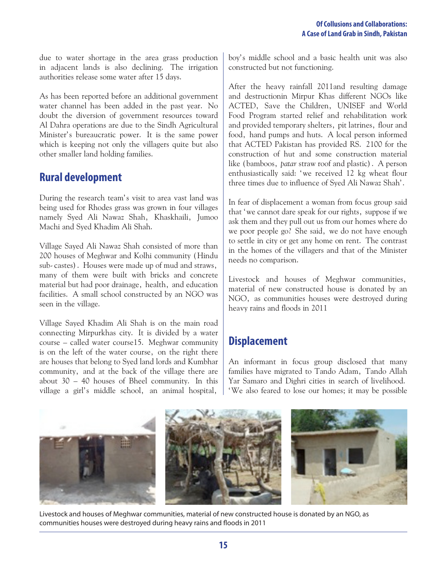due to water shortage in the area grass production in adjacent lands is also declining. The irrigation authorities release some water after 15 days.

As has been reported before an additional government water channel has been added in the past year. No doubt the diversion of government resources toward Al Dahra operations are due to the Sindh Agricultural Minister's bureaucratic power. It is the same power which is keeping not only the villagers quite but also other smaller land holding families.

## **Rural development**

During the research team's visit to area vast land was being used for Rhodes grass was grown in four villages namely Syed Ali Nawaz Shah, Khaskhaili, Jumoo Machi and Syed Khadim Ali Shah.

Village Sayed Ali Nawaz Shah consisted of more than 200 houses of Meghwar and Kolhi community (Hindu sub-castes). Houses were made up of mud and straws, many of them were built with bricks and concrete material but had poor drainage, health, and education facilities. A small school constructed by an NGO was seen in the village.

Village Sayed Khadim Ali Shah is on the main road connecting Mirpurkhas city. It is divided by a water course – called water course15. Meghwar community is on the left of the water course, on the right there are houses that belong to Syed land lords and Kumbhar community, and at the back of the village there are about 30 – 40 houses of Bheel community. In this village a girl's middle school, an animal hospital,

boy's middle school and a basic health unit was also constructed but not functioning.

After the heavy rainfall 2011and resulting damage and destructionin Mirpur Khas different NGOs like ACTED, Save the Children, UNISEF and World Food Program started relief and rehabilitation work and provided temporary shelters, pit latrines, flour and food, hand pumps and huts. A local person informed that ACTED Pakistan has provided RS. 2100 for the construction of hut and some construction material like (bamboos, *patar* straw roof and plastic). A person enthusiastically said: 'we received 12 kg wheat flour three times due to influence of Syed Ali Nawaz Shah'.

In fear of displacement a woman from focus group said that 'we cannot dare speak for our rights, suppose if we ask them and they pull out us from our homes where do we poor people go? She said, we do not have enough to settle in city or get any home on rent. The contrast in the homes of the villagers and that of the Minister needs no comparison.

Livestock and houses of Meghwar communities, material of new constructed house is donated by an NGO, as communities houses were destroyed during heavy rains and floods in 2011

## **Displacement**

An informant in focus group disclosed that many families have migrated to Tando Adam, Tando Allah Yar Samaro and Dighri cities in search of livelihood. 'We also feared to lose our homes; it may be possible



Livestock and houses of Meghwar communities, material of new constructed house is donated by an NGO, as communities houses were destroyed during heavy rains and floods in 2011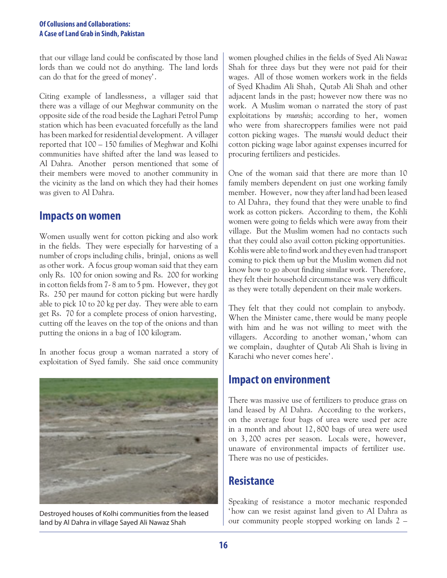that our village land could be confiscated by those land lords than we could not do anything. The land lords can do that for the greed of money'.

Citing example of landlessness, a villager said that there was a village of our Meghwar community on the opposite side of the road beside the Laghari Petrol Pump station which has been evacuated forcefully as the land has been marked for residential development. A villager reported that 100 – 150 families of Meghwar and Kolhi communities have shifted after the land was leased to Al Dahra. Another person mentioned that some of their members were moved to another community in the vicinity as the land on which they had their homes was given to Al Dahra.

### **Impacts on women**

Women usually went for cotton picking and also work in the fields. They were especially for harvesting of a number of crops including chilis, brinjal, onions as well as other work. A focus group woman said that they earn only Rs. 100 for onion sowing and Rs. 200 for working in cotton fields from 7-8 am to 5 pm. However, they got Rs. 250 per maund for cotton picking but were hardly able to pick 10 to 20 kg per day. They were able to earn get Rs. 70 for a complete process of onion harvesting, cutting off the leaves on the top of the onions and than putting the onions in a bag of 100 kilogram.

In another focus group a woman narrated a story of exploitation of Syed family. She said once community



land by Al Dahra in village Sayed Ali Nawaz Shah

women ploughed chilies in the fields of Syed Ali Nawaz Shah for three days but they were not paid for their wages. All of those women workers work in the fields of Syed Khadim Ali Shah, Qutab Ali Shah and other adjacent lands in the past; however now there was no work. A Muslim woman o narrated the story of past exploitations by *munshis*; according to her, women who were from sharecroppers families were not paid cotton picking wages. The *munshi* would deduct their cotton picking wage labor against expenses incurred for procuring fertilizers and pesticides.

One of the woman said that there are more than 10 family members dependent on just one working family member. However, now they after land had been leased to Al Dahra, they found that they were unable to find work as cotton pickers. According to them, the Kohli women were going to fields which were away from their village. But the Muslim women had no contacts such that they could also avail cotton picking opportunities. Kohlis were able to find work and they even had transport coming to pick them up but the Muslim women did not know how to go about finding similar work. Therefore, they felt their household circumstance was very difficult as they were totally dependent on their male workers.

They felt that they could not complain to anybody. When the Minister came, there would be many people with him and he was not willing to meet with the villagers. According to another woman,'whom can we complain, daughter of Qutab Ali Shah is living in Karachi who never comes here'.

### **Impact on environment**

There was massive use of fertilizers to produce grass on land leased by Al Dahra. According to the workers, on the average four bags of urea were used per acre in a month and about 12,800 bags of urea were used on 3,200 acres per season. Locals were, however, unaware of environmental impacts of fertilizer use. There was no use of pesticides.

## **Resistance**

Speaking of resistance a motor mechanic responded 'how can we resist against land given to Al Dahra as Destroyed houses of Kolhi communities from the leased<br>and by Al Dahra in village Saved Ali Nawaz Shah bure community people stopped working on lands 2 –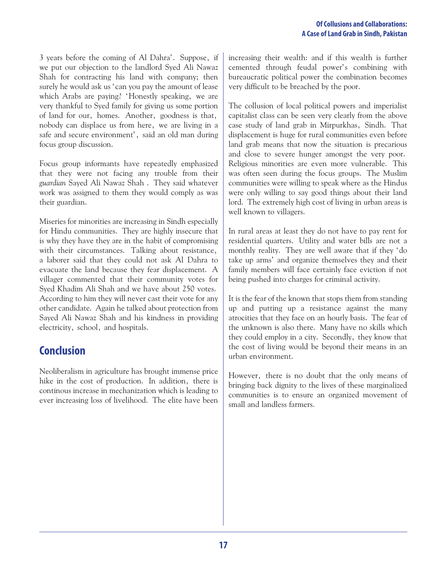3 years before the coming of Al Dahra'. Suppose, if we put our objection to the landlord Syed Ali Nawaz Shah for contracting his land with company; then surely he would ask us 'can you pay the amount of lease which Arabs are paying? 'Honestly speaking, we are very thankful to Syed family for giving us some portion of land for our, homes. Another, goodness is that, nobody can displace us from here, we are living in a safe and secure environment', said an old man during focus group discussion.

Focus group informants have repeatedly emphasized that they were not facing any trouble from their *guardian* Sayed Ali Nawaz Shah . They said whatever work was assigned to them they would comply as was their guardian.

Miseries for minorities are increasing in Sindh especially for Hindu communities. They are highly insecure that is why they have they are in the habit of compromising with their circumstances. Talking about resistance, a laborer said that they could not ask Al Dahra to evacuate the land because they fear displacement. A villager commented that their community votes for Syed Khadim Ali Shah and we have about 250 votes. According to him they will never cast their vote for any other candidate. Again he talked about protection from Sayed Ali Nawaz Shah and his kindness in providing electricity, school, and hospitals.

# **Conclusion**

Neoliberalism in agriculture has brought immense price hike in the cost of production. In addition, there is continous increase in mechanization which is leading to ever increasing loss of livelihood. The elite have been increasing their wealth: and if this wealth is further cemented through feudal power's combining with bureaucratic political power the combination becomes very difficult to be breached by the poor.

The collusion of local political powers and imperialist capitalist class can be seen very clearly from the above case study of land grab in Mirpurkhas, Sindh. That displacement is huge for rural communities even before land grab means that now the situation is precarious and close to severe hunger amongst the very poor. Religious minorities are even more vulnerable. This was often seen during the focus groups. The Muslim communities were willing to speak where as the Hindus were only willing to say good things about their land lord. The extremely high cost of living in urban areas is well known to villagers.

In rural areas at least they do not have to pay rent for residential quarters. Utility and water bills are not a monthly reality. They are well aware that if they 'do take up arms' and organize themselves they and their family members will face certainly face eviction if not being pushed into charges for criminal activity.

It is the fear of the known that stops them from standing up and putting up a resistance against the many atrocities that they face on an hourly basis. The fear of the unknown is also there. Many have no skills which they could employ in a city. Secondly, they know that the cost of living would be beyond their means in an urban environment.

However, there is no doubt that the only means of bringing back dignity to the lives of these marginalized communities is to ensure an organized movement of small and landless farmers.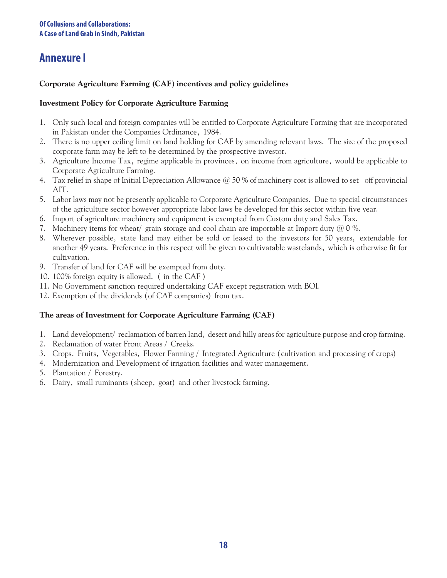# **Annexure I**

#### **Corporate Agriculture Farming (CAF) incentives and policy guidelines**

#### **Investment Policy for Corporate Agriculture Farming**

- 1. Only such local and foreign companies will be entitled to Corporate Agriculture Farming that are incorporated in Pakistan under the Companies Ordinance, 1984.
- 2. There is no upper ceiling limit on land holding for CAF by amending relevant laws. The size of the proposed corporate farm may be left to be determined by the prospective investor.
- 3. Agriculture Income Tax, regime applicable in provinces, on income from agriculture, would be applicable to Corporate Agriculture Farming.
- 4. Tax relief in shape of Initial Depreciation Allowance @ 50 % of machinery cost is allowed to set –off provincial AIT.
- 5. Labor laws may not be presently applicable to Corporate Agriculture Companies. Due to special circumstances of the agriculture sector however appropriate labor laws be developed for this sector within five year.
- 6. Import of agriculture machinery and equipment is exempted from Custom duty and Sales Tax.
- 7. Machinery items for wheat/ grain storage and cool chain are importable at Import duty  $@0$  %.
- 8. Wherever possible, state land may either be sold or leased to the investors for 50 years, extendable for another 49 years. Preference in this respect will be given to cultivatable wastelands, which is otherwise fit for cultivation.
- 9. Transfer of land for CAF will be exempted from duty.
- 10. 100% foreign equity is allowed. ( in the CAF )
- 11.No Government sanction required undertaking CAF except registration with BOI.
- 12.Exemption of the dividends (of CAF companies) from tax.

#### **The areas of Investment for Corporate Agriculture Farming (CAF)**

- 1. Land development/ reclamation of barren land, desert and hilly areas for agriculture purpose and crop farming.
- 2. Reclamation of water Front Areas / Creeks.
- 3. Crops, Fruits, Vegetables, Flower Farming / Integrated Agriculture (cultivation and processing of crops)
- 4. Modernization and Development of irrigation facilities and water management.
- 5. Plantation / Forestry.
- 6. Dairy, small ruminants (sheep, goat) and other livestock farming.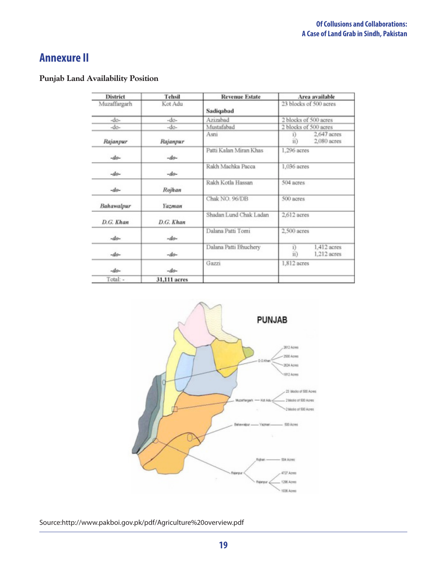# **Annexure II**

#### **Punjab Land Availability Position**

| <b>District</b> | Tehsil       | <b>Revenue Estate</b>  | Area available<br>23 blocks of 500 acres<br>2 blocks of 500 acres |  |
|-----------------|--------------|------------------------|-------------------------------------------------------------------|--|
| Muzaffargarh    | Kot Adu      | Sadiqabad              |                                                                   |  |
| $-dn-$          | $-dn-$       | Azizabad               |                                                                   |  |
| $-do-$          | $-do-$       | Mustafabad             | 2 blocks of 500 acres                                             |  |
| Rajanpur        | Rajanpur     | Asni                   | 2,647 acres<br>$_{1}$<br>ii)<br>$2,080$ acres                     |  |
| $-do-$          | $-do-$       | Patti Kalan Miran Khas | 1,296 acres                                                       |  |
| $-do-$          | $-dn-$       | Rakh Machka Pacca      | 1,036 acres                                                       |  |
| $-do-$          | Rojhan       | Rakh Kotla Hassan      | 504 acres                                                         |  |
| Bahawalpur      | Yazman       | Chak NO. 96/DB         | 500 acres                                                         |  |
| D.G. Khan       | D.G. Khan    | Shadan Lund Chak Ladan | 2,612 acres                                                       |  |
| $-do-$          | $-do-$       | Dalana Patti Tomi      | 2,500 acres                                                       |  |
| $-do-$          | $-do-$       | Dalana Patti Bhuchery  | i)<br>1.412 acres<br>ii)<br>1,212 acres                           |  |
| $-do-$          | $-do-$       | Gazzi                  | 1,812 acres                                                       |  |
| Total: -        | 31,111 acres |                        |                                                                   |  |



Source:http://www.pakboi.gov.pk/pdf/Agriculture%20overview.pdf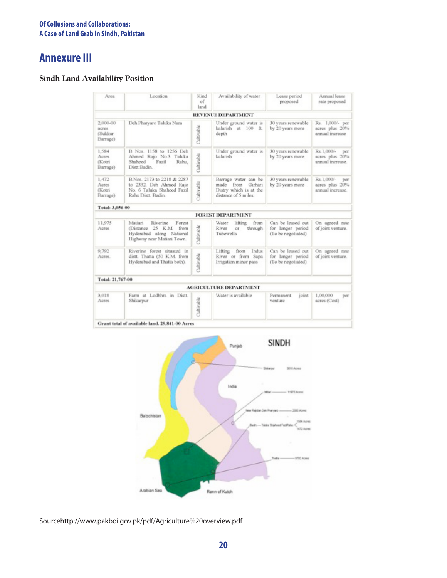# **Annexure III**

#### **Sindh Land Availability Position**

| Area                                      | Location                                                                                                          | Kind<br>$_{\rm of}$<br>land | Availability of water                                                                          | Lease period<br>proposed                                     | Armual lease<br>rate proposed                           |
|-------------------------------------------|-------------------------------------------------------------------------------------------------------------------|-----------------------------|------------------------------------------------------------------------------------------------|--------------------------------------------------------------|---------------------------------------------------------|
|                                           |                                                                                                                   |                             | <b>REVENUE DEPARTMENT</b>                                                                      |                                                              |                                                         |
| 2,000-00<br>acres<br>(Sukkur)<br>Barrage) | Deh Pharyaro Taluka Nara                                                                                          | Cultivable                  | Under ground water is<br>kalarish at 100 ft.<br>depth                                          | 30 years renewable<br>by 20 years more                       | Rs. 1,000/- per<br>acres plus 20%<br>annual increase    |
| 1,584<br>Acres<br>(Kotri<br>Barrage)      | B Nos. 1158 to 1256 Deh<br>Ahmed Rajo No.3 Taluka<br>Shaheed<br>Fazil<br>Rahu.<br>Distt-Badin.                    | Cultivable                  | Under ground water is<br>kalarish                                                              | 30 years renewable<br>by 20 years more                       | Rs.1,000/-<br>per<br>acres plus 20%<br>annual increase. |
| 1,472<br>Acres<br>(Kotri<br>Barrage)      | B.Nos. 2173 to 2218 & 2287<br>to 2332. Deh Ahmed Rajo<br>No. 6 Taluka Shaheed Fazil<br>Rahu Distt, Badin.         | Cultivable                  | Barrage water can be<br>made from<br>Girhari<br>Distry which is at the<br>distance of 5 miles. | 30 years renewable<br>by 20 years more                       | Rs.1,000/-<br>per<br>acres plus 20%<br>annual increase. |
| Total: 3,056-00                           |                                                                                                                   |                             |                                                                                                |                                                              |                                                         |
|                                           |                                                                                                                   |                             | <b>FOREST DEPARTMENT</b>                                                                       |                                                              |                                                         |
| 11,975<br>Acres                           | Matiari<br>Riverine<br>Forest<br>(Distance 25 K.M. from<br>Hyderabad along National<br>Highway near Matiari Town. | Cultivable                  | Water<br>lifting<br>from<br>River<br>through<br>or<br>Tubewells                                | Can be leased out<br>for longer period<br>(To be negotiated) | On agreed rate<br>of joint venture.                     |
| 9,792<br>Acres.                           | Riverine forest situated in<br>distt. Thatta (50 K.M. from<br>Hyderabad and Thatta both).                         | Cultivable                  | Indus<br>Lifting<br>from<br>River or from Sapa<br>Irrigation minor pass.                       | Can be leased out<br>for longer period<br>(To be negotiated) | On agreed rate<br>of joint venture.                     |
| Total: 21,767-00                          |                                                                                                                   |                             |                                                                                                |                                                              |                                                         |
|                                           |                                                                                                                   |                             | <b>AGRICULTURE DEPARTMENT</b>                                                                  |                                                              |                                                         |
| 3,018<br>Acres                            | Farm at Lodhhra in Distt.<br>Shikarpur                                                                            | Daltivable                  | Water is available                                                                             | Permanent<br>joint<br>venture                                | 1,00,000<br>per<br>acres (Cost)                         |



Sourcehttp://www.pakboi.gov.pk/pdf/Agriculture%20overview.pdf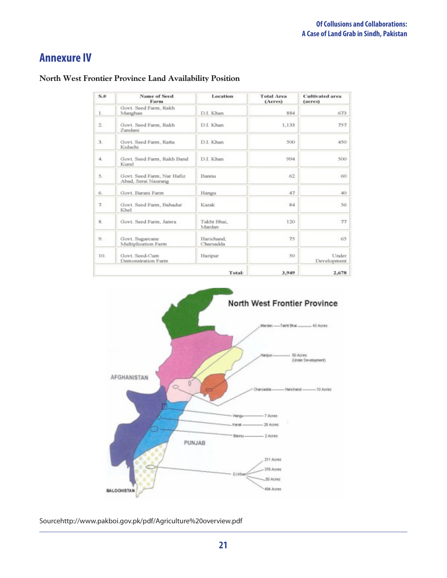# **Annexure IV**

| S, H | <b>Name of Seed</b><br>Farm                       | Location                | <b>Total Area</b><br>(Acres) | <b>Cultivated area</b><br>(acres) |
|------|---------------------------------------------------|-------------------------|------------------------------|-----------------------------------|
| 1.   | Govt. Seed Farm, Rakh<br>Manghan                  | D.I. Khan               | 884                          | 673                               |
| 2.   | Govt. Seed Farm, Rakh<br>Zandani                  | D.I. Khan               | 1,133                        | 757                               |
| 3.   | Govt. Seed Farm, Ratta<br>Kulachi                 | D.L Khan                | 500                          | 450                               |
| 4.   | Govt. Seed Farm, Rakh Band<br>Kural               | D.I. Khan               | 994                          | 500                               |
| 5.   | Govt. Seed Farm, Nar Hafiz<br>Abad, Serai Naurang | Barmu                   | 62                           | 60                                |
| 6.   | Govt. Barani Farm                                 | Hangu                   | 47                           | 40                                |
| 7.   | Govt. Seed Farm, Bahadur<br>Khel                  | Karak                   | 84                           | 56                                |
| 8.   | Govt. Seed Farm, Jamra                            | Takht Bhai,<br>Mardan   | 120                          | 77                                |
| 9.   | Govt. Sugarcane<br>Multiplication Farm            | Harichand.<br>Charsadda | 75                           | 65                                |
| 10.  | Govt. Seed-Cum<br>Demonstration Farm              | Haripur                 | 50                           | Under<br>Development              |
|      |                                                   | Total:                  | 3,949                        | 2,678                             |

#### **North West Frontier Province Land Availability Position**



Sourcehttp://www.pakboi.gov.pk/pdf/Agriculture%20overview.pdf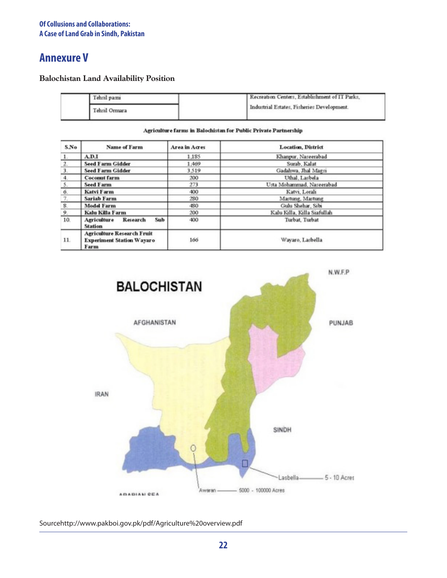# **Annexure V**

**Balochistan Land Availability Position**

| Tehsil pasm   | Recreation Centers, Establishment of IT Parks. |  |
|---------------|------------------------------------------------|--|
| Tehsil Ormara | Industrial Estates, Fisheries Development.     |  |

Agriculture farms in Balochistan for Public Private Partnership

| S.No  | Name of Farm                                                                  | Area in Acres | <b>Location, District</b>   |
|-------|-------------------------------------------------------------------------------|---------------|-----------------------------|
| $1$ . | A.D.I                                                                         | 1.185         | Khanpur, Naseerabad         |
| 2.    | <b>Seed Farm Gidder</b>                                                       | 1.469         | Surab, Kalat                |
| 3.    | <b>Seed Farm Gidder</b>                                                       | 3.519         | Gadahwa, Jhal Magsi         |
| 4.    | <b>Coconut farm</b>                                                           | 200           | Uthal, Lasbela              |
| 5.    | <b>Seed Farm</b>                                                              | 273           | Usta Mohammad, Naseerabad   |
| 6.    | Katvi Farm                                                                    | 400           | Katvi, Lorali               |
| 7.    | <b>Sariab Farm</b>                                                            | 280           | Mastung, Mastung            |
| 8.    | <b>Model Farm</b>                                                             | 480           | Gulu Shehar, Sibi           |
| 9.    | Kalu Killa Farm                                                               | 200           | Kalu Killa, Killa Siafullah |
| 10.   | Sub<br><b>Agriculture</b><br>Research<br><b>Station</b>                       | 400           | Turbat, Turbat              |
| 11.   | <b>Agriculture Research Fruit</b><br><b>Experiment Station Wayaro</b><br>Farm | 166           | Wayaro, Lasbella            |



Sourcehttp://www.pakboi.gov.pk/pdf/Agriculture%20overview.pdf